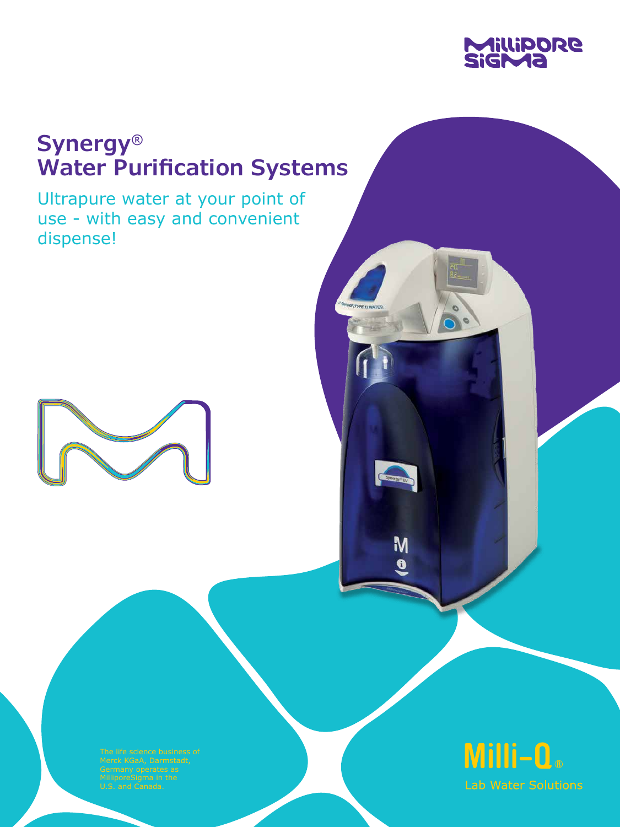

# **Synergy® Water Purification Systems**

Ultrapure water at your point of use - with easy and convenient dispense!





M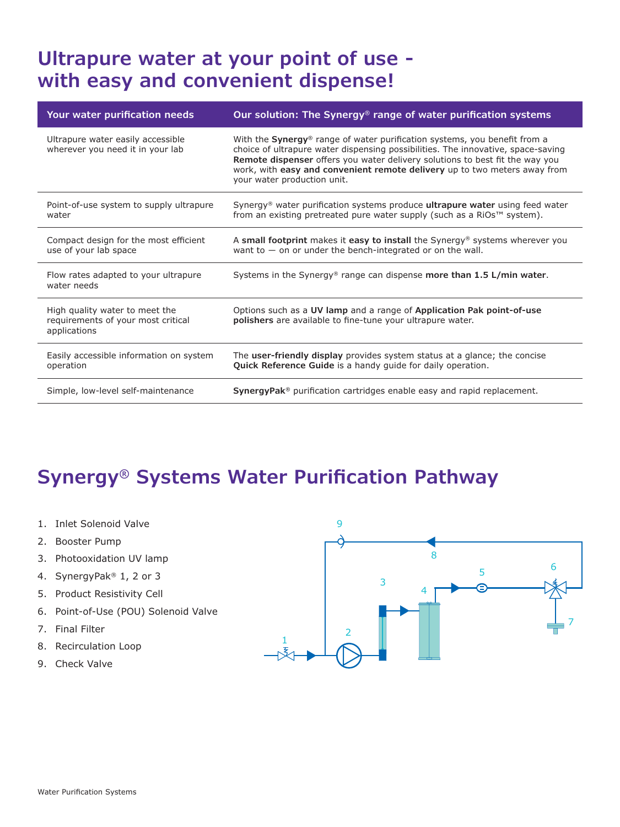### **Ultrapure water at your point of use with easy and convenient dispense!**

| Your water purification needs                                                        | Our solution: The Synergy <sup>®</sup> range of water purification systems                                                                                                                                                                                                                                                                                |
|--------------------------------------------------------------------------------------|-----------------------------------------------------------------------------------------------------------------------------------------------------------------------------------------------------------------------------------------------------------------------------------------------------------------------------------------------------------|
| Ultrapure water easily accessible<br>wherever you need it in your lab                | With the Synergy® range of water purification systems, you benefit from a<br>choice of ultrapure water dispensing possibilities. The innovative, space-saving<br>Remote dispenser offers you water delivery solutions to best fit the way you<br>work, with easy and convenient remote delivery up to two meters away from<br>your water production unit. |
| Point-of-use system to supply ultrapure<br>water                                     | Synergy <sup>®</sup> water purification systems produce <b>ultrapure water</b> using feed water<br>from an existing pretreated pure water supply (such as a RiOs™ system).                                                                                                                                                                                |
| Compact design for the most efficient<br>use of your lab space                       | A small footprint makes it easy to install the Synergy <sup>®</sup> systems wherever you<br>want to $-$ on or under the bench-integrated or on the wall.                                                                                                                                                                                                  |
| Flow rates adapted to your ultrapure<br>water needs                                  | Systems in the Synergy <sup>®</sup> range can dispense more than 1.5 L/min water.                                                                                                                                                                                                                                                                         |
| High quality water to meet the<br>requirements of your most critical<br>applications | Options such as a UV lamp and a range of Application Pak point-of-use<br>polishers are available to fine-tune your ultrapure water.                                                                                                                                                                                                                       |
| Easily accessible information on system<br>operation                                 | The user-friendly display provides system status at a glance; the concise<br><b>Quick Reference Guide</b> is a handy quide for daily operation.                                                                                                                                                                                                           |
| Simple, low-level self-maintenance                                                   | SynergyPak <sup>®</sup> purification cartridges enable easy and rapid replacement.                                                                                                                                                                                                                                                                        |

# **Synergy® Systems Water Purification Pathway**

- 1. Inlet Solenoid Valve
- 2. Booster Pump
- 3. Photooxidation UV lamp
- 4. SynergyPak® 1, 2 or 3
- 5. Product Resistivity Cell
- 6. Point-of-Use (POU) Solenoid Valve
- 7. Final Filter
- 8. Recirculation Loop
- 9. Check Valve

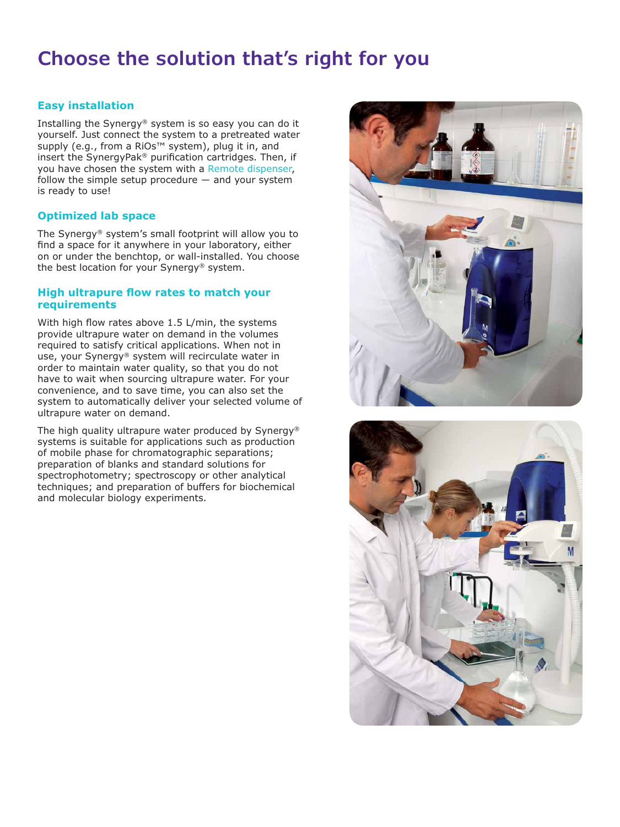## **Choose the solution that's right for you**

### **Easy installation**

Installing the Synergy® system is so easy you can do it yourself. Just connect the system to a pretreated water supply (e.g., from a RiOs<sup>™</sup> system), plug it in, and insert the SynergyPak® purification cartridges. Then, if you have chosen the system with a Remote dispenser, follow the simple setup procedure  $-$  and your system is ready to use!

#### **Optimized lab space**

The Synergy® system's small footprint will allow you to find a space for it anywhere in your laboratory, either on or under the benchtop, or wall-installed. You choose the best location for your Synergy® system.

#### **High ultrapure flow rates to match your requirements**

With high flow rates above 1.5 L/min, the systems provide ultrapure water on demand in the volumes required to satisfy critical applications. When not in use, your Synergy® system will recirculate water in order to maintain water quality, so that you do not have to wait when sourcing ultrapure water. For your convenience, and to save time, you can also set the system to automatically deliver your selected volume of ultrapure water on demand.

The high quality ultrapure water produced by Synergy® systems is suitable for applications such as production of mobile phase for chromatographic separations; preparation of blanks and standard solutions for spectrophotometry; spectroscopy or other analytical techniques; and preparation of buffers for biochemical and molecular biology experiments.



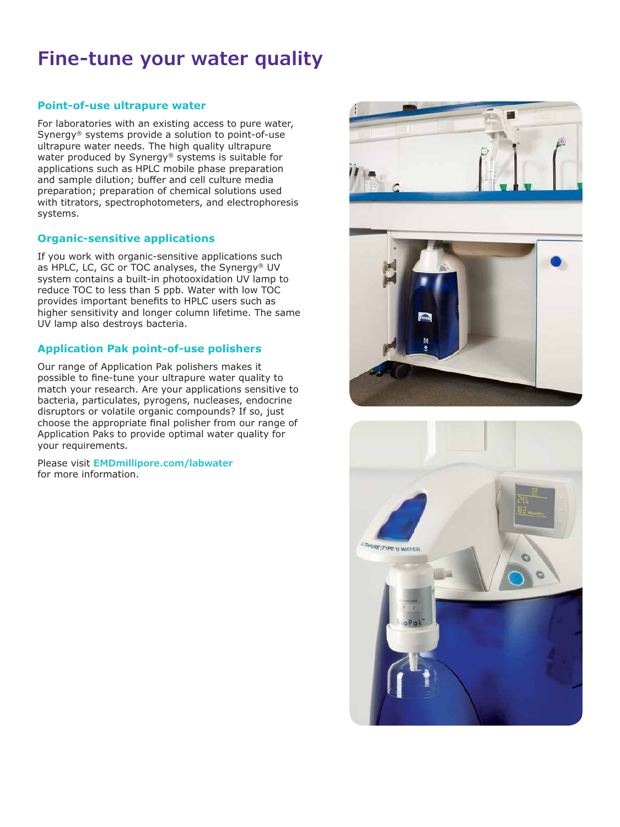### **Fine-tune your water quality**

### **Point-of-use ultrapure water**

For laboratories with an existing access to pure water, Synergy® systems provide a solution to point-of-use ultrapure water needs. The high quality ultrapure water produced by Synergy® systems is suitable for applications such as HPLC mobile phase preparation and sample dilution; buffer and cell culture media preparation; preparation of chemical solutions used with titrators, spectrophotometers, and electrophoresis systems.

#### **Organic-sensitive applications**

If you work with organic-sensitive applications such as HPLC, LC, GC or TOC analyses, the Synergy® UV system contains a built-in photooxidation UV lamp to reduce TOC to less than 5 ppb. Water with low TOC provides important benefits to HPLC users such as higher sensitivity and longer column lifetime. The same UV lamp also destroys bacteria.

### **Application Pak point-of-use polishers**

Our range of Application Pak polishers makes it possible to fine-tune your ultrapure water quality to match your research. Are your applications sensitive to bacteria, particulates, pyrogens, nucleases, endocrine disruptors or volatile organic compounds? If so, just choose the appropriate final polisher from our range of Application Paks to provide optimal water quality for your requirements.

Please visit **EMDmillipore.com/labwater** for more information.



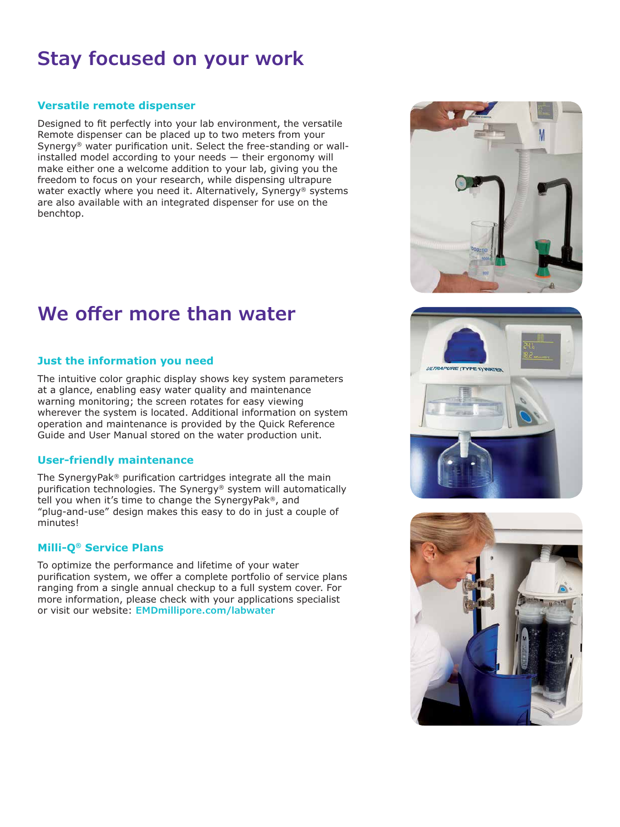## **Stay focused on your work**

#### **Versatile remote dispenser**

Designed to fit perfectly into your lab environment, the versatile Remote dispenser can be placed up to two meters from your Synergy® water purification unit. Select the free-standing or wallinstalled model according to your needs ― their ergonomy will make either one a welcome addition to your lab, giving you the freedom to focus on your research, while dispensing ultrapure water exactly where you need it. Alternatively, Synergy® systems are also available with an integrated dispenser for use on the benchtop.

### **We offer more than water**

### **Just the information you need**

The intuitive color graphic display shows key system parameters at a glance, enabling easy water quality and maintenance warning monitoring; the screen rotates for easy viewing wherever the system is located. Additional information on system operation and maintenance is provided by the Quick Reference Guide and User Manual stored on the water production unit.

#### **User-friendly maintenance**

The SynergyPak® purification cartridges integrate all the main purification technologies. The Synergy® system will automatically tell you when it's time to change the SynergyPak®, and "plug-and-use" design makes this easy to do in just a couple of minutes!

#### **Milli-Q® Service Plans**

To optimize the performance and lifetime of your water purification system, we offer a complete portfolio of service plans ranging from a single annual checkup to a full system cover. For more information, please check with your applications specialist or visit our website: **EMDmillipore.com/labwater**